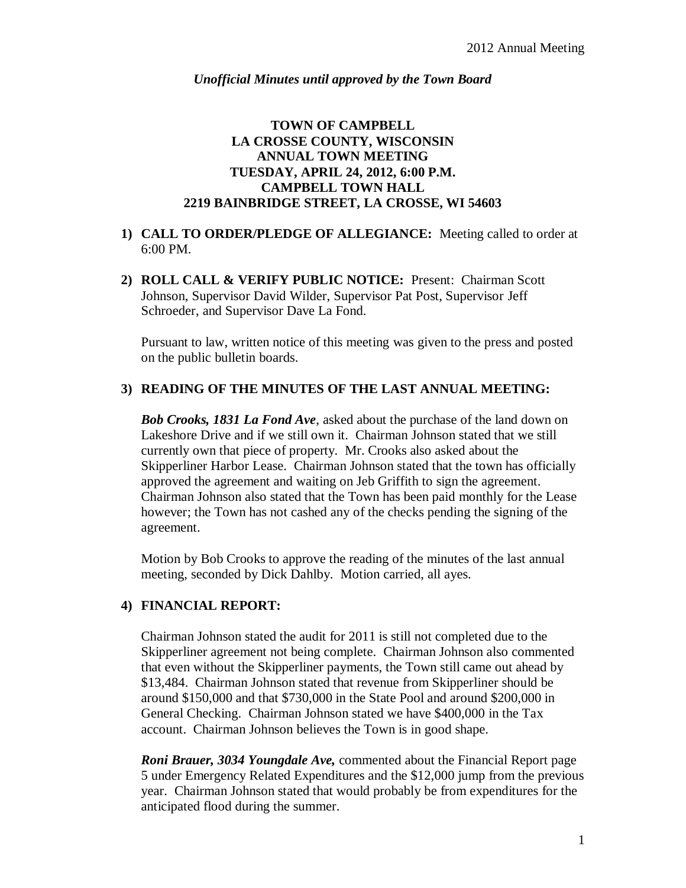*Unofficial Minutes until approved by the Town Board*

## **TOWN OF CAMPBELL LA CROSSE COUNTY, WISCONSIN ANNUAL TOWN MEETING TUESDAY, APRIL 24, 2012, 6:00 P.M. CAMPBELL TOWN HALL 2219 BAINBRIDGE STREET, LA CROSSE, WI 54603**

## **1) CALL TO ORDER/PLEDGE OF ALLEGIANCE:** Meeting called to order at 6:00 PM.

**2) ROLL CALL & VERIFY PUBLIC NOTICE:** Present: Chairman Scott Johnson, Supervisor David Wilder, Supervisor Pat Post, Supervisor Jeff Schroeder, and Supervisor Dave La Fond.

Pursuant to law, written notice of this meeting was given to the press and posted on the public bulletin boards.

# **3) READING OF THE MINUTES OF THE LAST ANNUAL MEETING:**

*Bob Crooks, 1831 La Fond Ave*, asked about the purchase of the land down on Lakeshore Drive and if we still own it. Chairman Johnson stated that we still currently own that piece of property. Mr. Crooks also asked about the Skipperliner Harbor Lease. Chairman Johnson stated that the town has officially approved the agreement and waiting on Jeb Griffith to sign the agreement. Chairman Johnson also stated that the Town has been paid monthly for the Lease however; the Town has not cashed any of the checks pending the signing of the agreement.

Motion by Bob Crooks to approve the reading of the minutes of the last annual meeting, seconded by Dick Dahlby. Motion carried, all ayes.

# **4) FINANCIAL REPORT:**

Chairman Johnson stated the audit for 2011 is still not completed due to the Skipperliner agreement not being complete. Chairman Johnson also commented that even without the Skipperliner payments, the Town still came out ahead by \$13,484. Chairman Johnson stated that revenue from Skipperliner should be around \$150,000 and that \$730,000 in the State Pool and around \$200,000 in General Checking. Chairman Johnson stated we have \$400,000 in the Tax account. Chairman Johnson believes the Town is in good shape.

*Roni Brauer, 3034 Youngdale Ave,* commented about the Financial Report page 5 under Emergency Related Expenditures and the \$12,000 jump from the previous year. Chairman Johnson stated that would probably be from expenditures for the anticipated flood during the summer.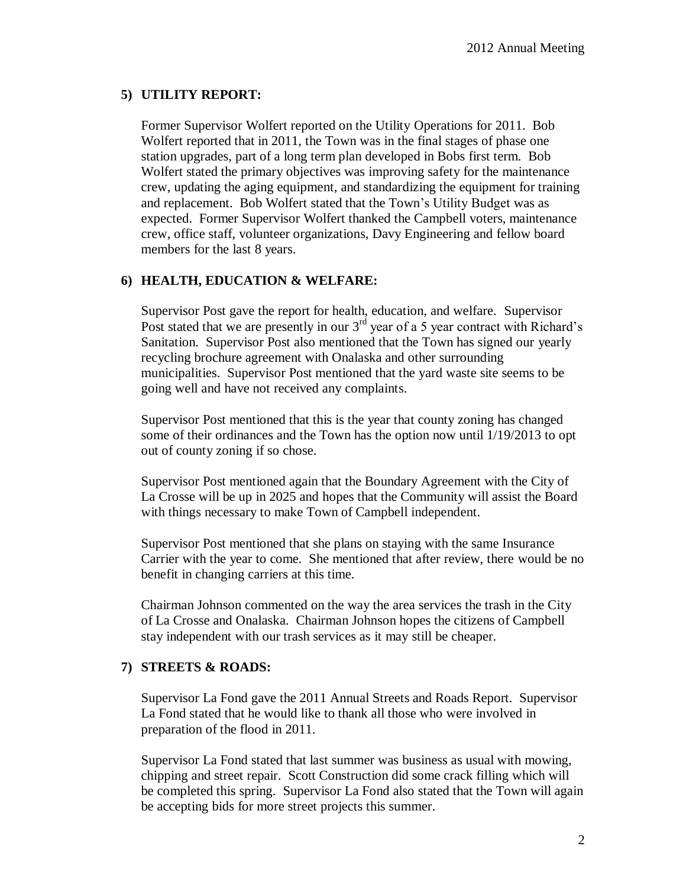# **5) UTILITY REPORT:**

Former Supervisor Wolfert reported on the Utility Operations for 2011. Bob Wolfert reported that in 2011, the Town was in the final stages of phase one station upgrades, part of a long term plan developed in Bobs first term. Bob Wolfert stated the primary objectives was improving safety for the maintenance crew, updating the aging equipment, and standardizing the equipment for training and replacement. Bob Wolfert stated that the Town's Utility Budget was as expected. Former Supervisor Wolfert thanked the Campbell voters, maintenance crew, office staff, volunteer organizations, Davy Engineering and fellow board members for the last 8 years.

# **6) HEALTH, EDUCATION & WELFARE:**

Supervisor Post gave the report for health, education, and welfare. Supervisor Post stated that we are presently in our  $3<sup>rd</sup>$  year of a 5 year contract with Richard's Sanitation. Supervisor Post also mentioned that the Town has signed our yearly recycling brochure agreement with Onalaska and other surrounding municipalities. Supervisor Post mentioned that the yard waste site seems to be going well and have not received any complaints.

Supervisor Post mentioned that this is the year that county zoning has changed some of their ordinances and the Town has the option now until 1/19/2013 to opt out of county zoning if so chose.

Supervisor Post mentioned again that the Boundary Agreement with the City of La Crosse will be up in 2025 and hopes that the Community will assist the Board with things necessary to make Town of Campbell independent.

Supervisor Post mentioned that she plans on staying with the same Insurance Carrier with the year to come. She mentioned that after review, there would be no benefit in changing carriers at this time.

Chairman Johnson commented on the way the area services the trash in the City of La Crosse and Onalaska. Chairman Johnson hopes the citizens of Campbell stay independent with our trash services as it may still be cheaper.

# **7) STREETS & ROADS:**

Supervisor La Fond gave the 2011 Annual Streets and Roads Report. Supervisor La Fond stated that he would like to thank all those who were involved in preparation of the flood in 2011.

Supervisor La Fond stated that last summer was business as usual with mowing, chipping and street repair. Scott Construction did some crack filling which will be completed this spring. Supervisor La Fond also stated that the Town will again be accepting bids for more street projects this summer.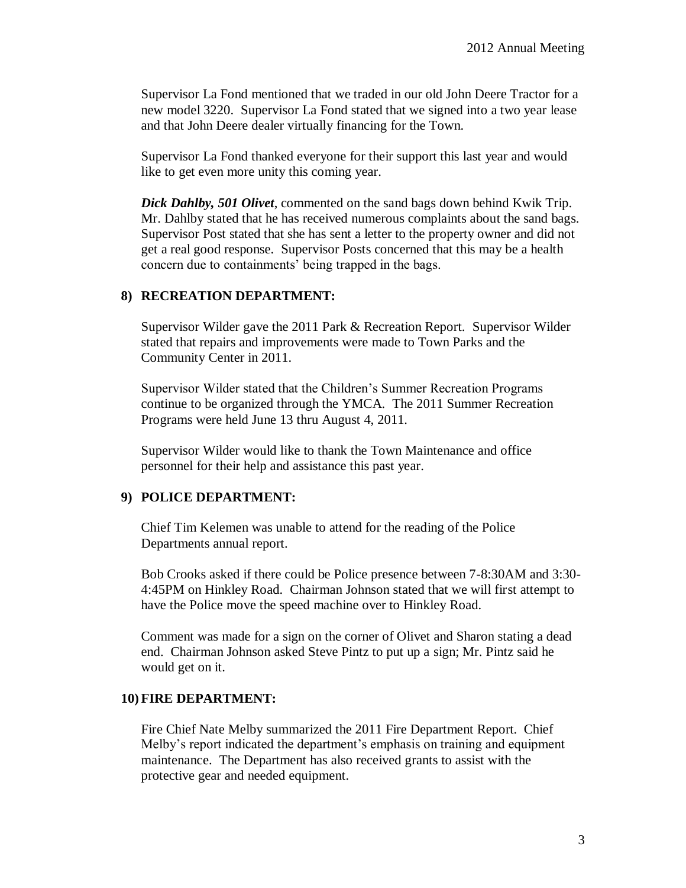Supervisor La Fond mentioned that we traded in our old John Deere Tractor for a new model 3220. Supervisor La Fond stated that we signed into a two year lease and that John Deere dealer virtually financing for the Town.

Supervisor La Fond thanked everyone for their support this last year and would like to get even more unity this coming year.

*Dick Dahlby, 501 Olivet*, commented on the sand bags down behind Kwik Trip. Mr. Dahlby stated that he has received numerous complaints about the sand bags. Supervisor Post stated that she has sent a letter to the property owner and did not get a real good response. Supervisor Posts concerned that this may be a health concern due to containments' being trapped in the bags.

### **8) RECREATION DEPARTMENT:**

Supervisor Wilder gave the 2011 Park & Recreation Report. Supervisor Wilder stated that repairs and improvements were made to Town Parks and the Community Center in 2011.

Supervisor Wilder stated that the Children's Summer Recreation Programs continue to be organized through the YMCA. The 2011 Summer Recreation Programs were held June 13 thru August 4, 2011.

Supervisor Wilder would like to thank the Town Maintenance and office personnel for their help and assistance this past year.

### **9) POLICE DEPARTMENT:**

Chief Tim Kelemen was unable to attend for the reading of the Police Departments annual report.

Bob Crooks asked if there could be Police presence between 7-8:30AM and 3:30- 4:45PM on Hinkley Road. Chairman Johnson stated that we will first attempt to have the Police move the speed machine over to Hinkley Road.

Comment was made for a sign on the corner of Olivet and Sharon stating a dead end. Chairman Johnson asked Steve Pintz to put up a sign; Mr. Pintz said he would get on it.

#### **10) FIRE DEPARTMENT:**

Fire Chief Nate Melby summarized the 2011 Fire Department Report. Chief Melby's report indicated the department's emphasis on training and equipment maintenance. The Department has also received grants to assist with the protective gear and needed equipment.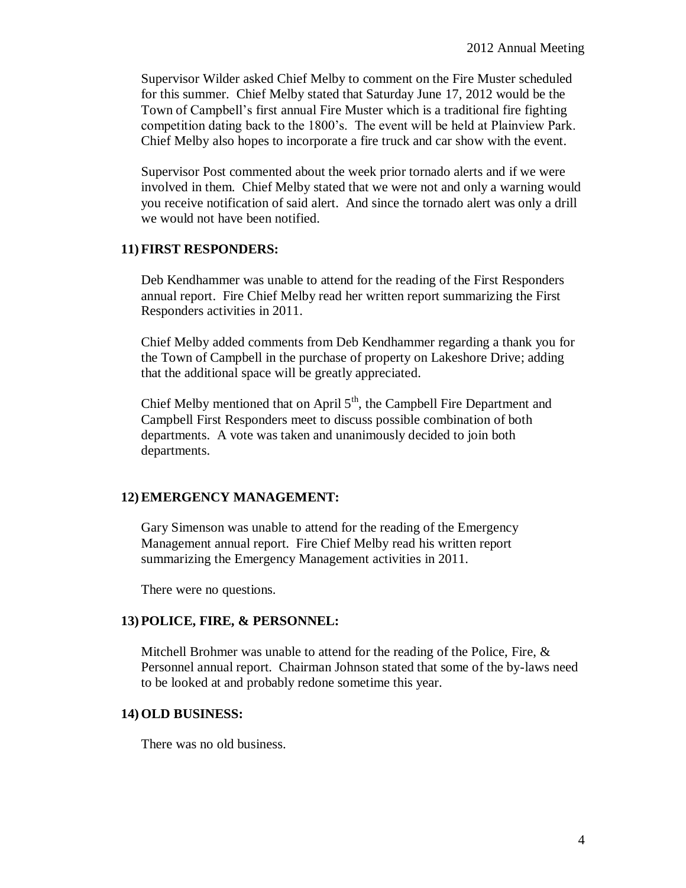Supervisor Wilder asked Chief Melby to comment on the Fire Muster scheduled for this summer. Chief Melby stated that Saturday June 17, 2012 would be the Town of Campbell's first annual Fire Muster which is a traditional fire fighting competition dating back to the 1800's. The event will be held at Plainview Park. Chief Melby also hopes to incorporate a fire truck and car show with the event.

Supervisor Post commented about the week prior tornado alerts and if we were involved in them. Chief Melby stated that we were not and only a warning would you receive notification of said alert. And since the tornado alert was only a drill we would not have been notified.

#### **11) FIRST RESPONDERS:**

Deb Kendhammer was unable to attend for the reading of the First Responders annual report. Fire Chief Melby read her written report summarizing the First Responders activities in 2011.

Chief Melby added comments from Deb Kendhammer regarding a thank you for the Town of Campbell in the purchase of property on Lakeshore Drive; adding that the additional space will be greatly appreciated.

Chief Melby mentioned that on April  $5<sup>th</sup>$ , the Campbell Fire Department and Campbell First Responders meet to discuss possible combination of both departments. A vote was taken and unanimously decided to join both departments.

#### **12) EMERGENCY MANAGEMENT:**

Gary Simenson was unable to attend for the reading of the Emergency Management annual report. Fire Chief Melby read his written report summarizing the Emergency Management activities in 2011.

There were no questions.

#### **13) POLICE, FIRE, & PERSONNEL:**

Mitchell Brohmer was unable to attend for the reading of the Police, Fire, & Personnel annual report. Chairman Johnson stated that some of the by-laws need to be looked at and probably redone sometime this year.

#### **14) OLD BUSINESS:**

There was no old business.